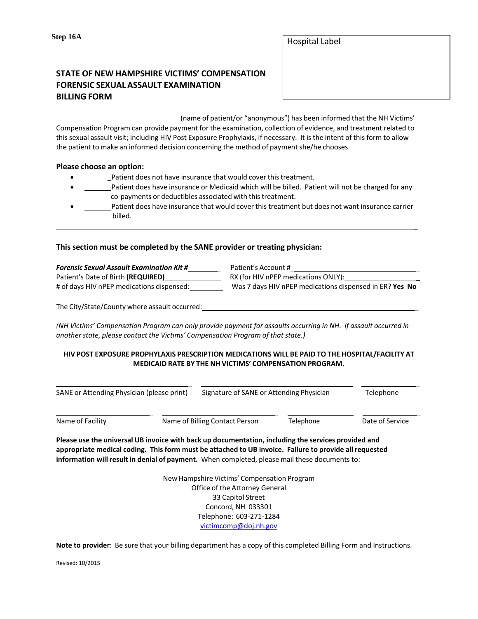\_

# **STATE OF NEW HAMPSHIRE VICTIMS' COMPENSATION FORENSIC SEXUAL ASSAULT EXAMINATION BILLING FORM**

(name of patient/or "anonymous") has been informed that the NH Victims' Compensation Program can provide payment for the examination, collection of evidence, and treatment related to thissexual assault visit; including HIV Post Exposure Prophylaxis, if necessary. It is the intent of this form to allow the patient to make an informed decision concerning the method of payment she/he chooses.

#### **Please choose an option:**

- Patient does not have insurance that would cover this treatment.
- Patient does have insurance or Medicaid which will be billed. Patient will not be charged for any co-payments or deductibles associated with this treatment.
- Patient does have insurance that would cover this treatment but does not want insurance carrier billed.

### **This section must be completed by the SANE provider or treating physician:**

| <b>Forensic Sexual Assault Examination Kit #</b> | Patient's Account #                                     |
|--------------------------------------------------|---------------------------------------------------------|
| Patient's Date of Birth (REQUIRED)               | RX (for HIV nPEP medications ONLY):                     |
| # of days HIV nPEP medications dispensed:        | Was 7 days HIV nPEP medications dispensed in ER? Yes No |

The City/State/County where assault occurred: \_

(NH Victims' Compensation Program can only provide payment for assaults occurring in NH. If assault occurred in *anotherstate, please contact the Victims' Compensation Program of that state.)*

#### **HIV POST EXPOSURE PROPHYLAXIS PRESCRIPTION MEDICATIONS WILL BE PAID TO THE HOSPITAL/FACILITY AT MEDICAID RATE BY THE NH VICTIMS' COMPENSATION PROGRAM.**

| SANE or Attending Physician (please print) |  | Signature of SANE or Attending Physician |           | Telephone       |
|--------------------------------------------|--|------------------------------------------|-----------|-----------------|
| Name of Facility                           |  | Name of Billing Contact Person           | Telephone | Date of Service |

**Please use the universal UB invoice with back up documentation, including the services provided and appropriate medical coding. This form must be attached to UB invoice. Failure to provide all requested information will result in denial of payment.** When completed, please mail these documents to:

> New Hampshire Victims' Compensation Program Office of the Attorney General 33 Capitol Street Concord, NH 033301 Telephone: 603-271-1284 [victimcomp@doj.nh.gov](mailto:victimcomp@doj.nh.gov)

**Note to provider**: Be sure that your billing department has a copy of this completed Billing Form and Instructions.

Revised: 10/2015